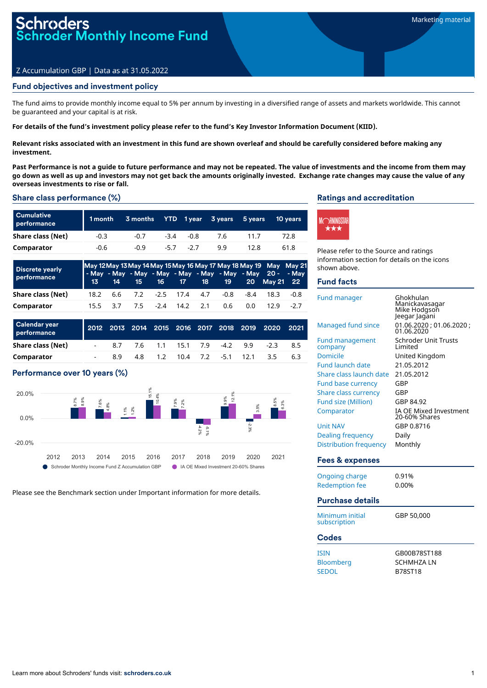# **oders** oder Monthly Income Fund

### Z Accumulation GBP | Data as at 31.05.2022

### Fund objectives and investment policy

The fund aims to provide monthly income equal to 5% per annum by investing in a diversified range of assets and markets worldwide. This cannot be guaranteed and your capital is at risk.

For details of the fund's investment policy please refer to the fund's Key Investor Information Document (KIID).

Relevant risks associated with an investment in this fund are shown overleaf and should be carefully considered before making any **investment.**

Past Performance is not a quide to future performance and may not be repeated. The value of investments and the income from them may go down as well as up and investors may not get back the amounts originally invested. Exchange rate changes may cause the value of any **overseas investments to rise or fall.**

#### Share class performance (%)

| <b>Cumulative</b><br>performance | 1 month | 3 months |        |        | YTD 1year 3years | 5 vears | 10 years |
|----------------------------------|---------|----------|--------|--------|------------------|---------|----------|
| Share class (Net)                | $-0.3$  | $-0.7$   | $-3.4$ | $-0.8$ | 7.6              | 11 7    | 72.8     |
| Comparator                       | -0.6    | $-0.9$   | $-5.7$ | $-27$  | 99               | 12.8    | 61.8     |

| <b>Discrete yearly</b><br>performance |  |  |                            |     |     | May 12 May 13 May 14 May 15 May 16 May 17 May 18 May 19 May May 21<br>- May - May - May - May - May - May - May - May 20 - - May<br>13 14 15 16 17 18 19 20 May 21 22 |        |
|---------------------------------------|--|--|----------------------------|-----|-----|-----------------------------------------------------------------------------------------------------------------------------------------------------------------------|--------|
| Share class (Net)                     |  |  |                            |     |     | 18.2   6.6   7.2   -2.5   17.4   4.7   -0.8   -8.4   18.3                                                                                                             | -0.8   |
| Comparator                            |  |  | 15.5 3.7 7.5 -2.4 14.2 2.1 | 0.6 | 0.0 | 12.9                                                                                                                                                                  | $-2.7$ |

| Calendar year<br>performance |     |                               |  |                            | 2012 2013 2014 2015 2016 2017 2018 2019 2020 2021 |    |
|------------------------------|-----|-------------------------------|--|----------------------------|---------------------------------------------------|----|
| Share class (Net)            |     | 8.7 7.6 1.1 15.1 7.9 -4.2 9.9 |  |                            | -23                                               | 85 |
| Comparator                   | R Q |                               |  | 4.8 1.2 10.4 7.2 -5.1 12.1 | 3.5                                               | 63 |

### Performance over 10 years (%)



Please see the Benchmark section under Important information for more details.

#### Ratings and accreditation



Please refer to the Source and ratings information section for details on the icons shown above.

#### Fund facts

| <b>Fund manager</b>                           | Ghokhulan<br>Manickavasagar<br>Mike Hodgson<br>Jeegar Jagani |
|-----------------------------------------------|--------------------------------------------------------------|
| Managed fund since                            | 01.06.2020 ; 01.06.2020 ;<br>01.06.2020                      |
| <b>Fund management</b><br>company<br>Domicile | <b>Schroder Unit Trusts</b><br>I imited<br>United Kingdom    |
| <b>Fund launch date</b>                       | 21.05.2012                                                   |
| Share class launch date                       | 21.05.2012                                                   |
| <b>Fund base currency</b>                     | GBP                                                          |
| <b>Share class currency</b>                   | GBP<br>GBP 84.92                                             |
| <b>Fund size (Million)</b>                    | <b>IA OE Mixed Investment</b>                                |
| Comparator                                    | 20-60% Shares                                                |
| <b>Unit NAV</b>                               | GBP 0.8716                                                   |
| Dealing frequency                             | Daily                                                        |
| Distribution frequency                        | Monthly                                                      |
| Fees & expenses                               |                                                              |
| <b>Ongoing charge</b>                         | 0.91%                                                        |
| <b>Redemption fee</b>                         | 0.00%                                                        |
| <b>Purchase details</b>                       |                                                              |
| Minimum initial<br>subscription               | GBP 50,000                                                   |
| Codes                                         |                                                              |
| <b>ISIN</b>                                   | GB00B78ST188                                                 |
|                                               |                                                              |

| GB00B78ST188   |
|----------------|
| SCHMHZA LN     |
| <b>B78ST18</b> |
|                |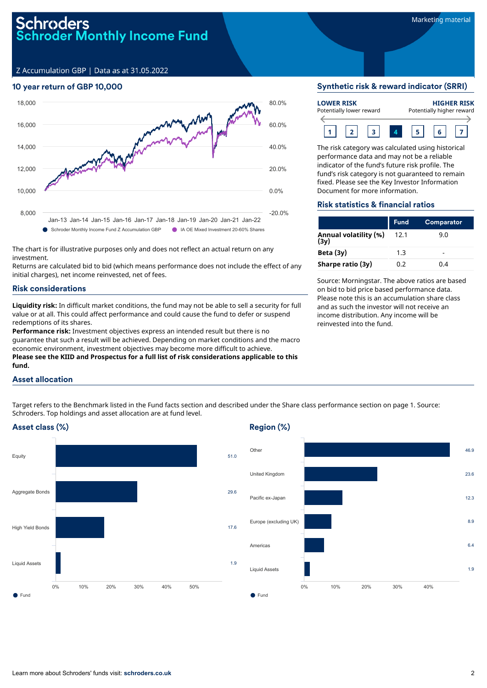Z Accumulation GBP | Data as at 31.05.2022

### 10 year return of GBP 10,000



The chart is for illustrative purposes only and does not reflect an actual return on any investment.

Returns are calculated bid to bid (which means performance does not include the effect of any initial charges), net income reinvested, net of fees.

### Risk considerations

**Liquidity risk:** In difficult market conditions, the fund may not be able to sell a security for full value or at all. This could affect performance and could cause the fund to defer or suspend redemptions of its shares.

**Performance risk:** Investment objectives express an intended result but there is no guarantee that such a result will be achieved. Depending on market conditions and the macro economic environment, investment objectives may become more difficult to achieve. **Please see the KIID and Prospectus for a full list of risk considerations applicable to this fund.**

### Asset allocation

Target refers to the Benchmark listed in the Fund facts section and described under the Share class performance section on page 1. Source: Schroders. Top holdings and asset allocation are at fund level.

# Asset class (%)



# Region (%)



### Synthetic risk & reward indicator (SRRI)



The risk category was calculated using historical performance data and may not be a reliable indicator of the fund's future risk profile. The fund's risk category is not guaranteed to remain fixed. Please see the Key Investor Information Document for more information.

#### Risk statistics & financial ratios

|                               | <b>Fund</b> | <b>Comparator</b> |
|-------------------------------|-------------|-------------------|
| Annual volatility (%)<br>(3y) | 12.1        | 9.0               |
| Beta (3y)                     | 1.3         |                   |
| Sharpe ratio (3y)             | 0.2         | በ 4               |

Source: Morningstar. The above ratios are based on bid to bid price based performance data. Please note this is an accumulation share class and as such the investor will not receive an income distribution. Any income will be reinvested into the fund.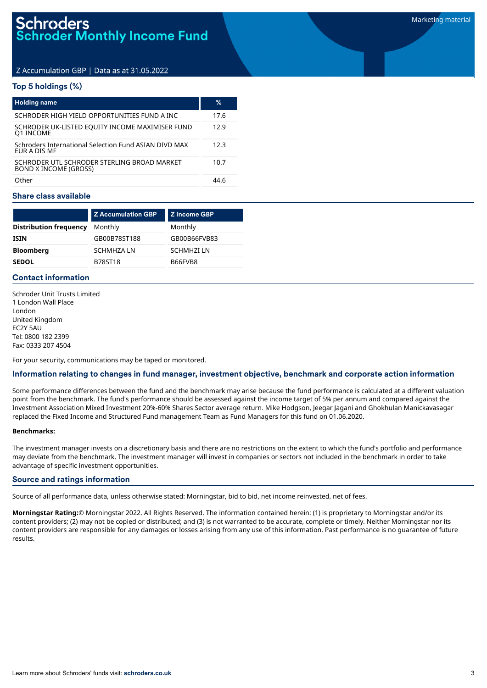# Z Accumulation GBP | Data as at 31.05.2022

# Top 5 holdings (%)

| <b>Holding name</b>                                                         | ℅    |
|-----------------------------------------------------------------------------|------|
| SCHRODER HIGH YIELD OPPORTUNITIES FUND A INC                                | 17.6 |
| SCHRODER UK-LISTED EQUITY INCOME MAXIMISER FUND<br>Q1 INCOME                | 12.9 |
| Schroders International Selection Fund ASIAN DIVD MAX<br>EUR A DIS MF       | 12.3 |
| SCHRODER UTL SCHRODER STERLING BROAD MARKET<br><b>BOND X INCOME (GROSS)</b> | 10.7 |
| Other                                                                       | 44 R |

### Share class available

|                               | <b>Z Accumulation GBP</b> | <b>Z Income GBP</b> |
|-------------------------------|---------------------------|---------------------|
| <b>Distribution frequency</b> | Monthly                   | Monthly             |
| <b>ISIN</b>                   | GB00B78ST188              | GB00B66FVB83        |
| <b>Bloomberg</b>              | <b>SCHMHZALN</b>          | <b>SCHMHZILN</b>    |
| <b>SEDOL</b>                  | <b>B78ST18</b>            | B66FVB8             |

# Contact information

Schroder Unit Trusts Limited 1 London Wall Place London United Kingdom EC2Y 5AU Tel: 0800 182 2399 Fax: 0333 207 4504

For your security, communications may be taped or monitored.

# Information relating to changes in fund manager, investment objective, benchmark and corporate action information

Some performance differences between the fund and the benchmark may arise because the fund performance is calculated at a different valuation point from the benchmark. The fund's performance should be assessed against the income target of 5% per annum and compared against the Investment Association Mixed Investment 20%-60% Shares Sector average return. Mike Hodgson, Jeegar Jagani and Ghokhulan Manickavasagar replaced the Fixed Income and Structured Fund management Team as Fund Managers for this fund on 01.06.2020.

#### **Benchmarks:**

The investment manager invests on a discretionary basis and there are no restrictions on the extent to which the fund's portfolio and performance may deviate from the benchmark. The investment manager will invest in companies or sectors not included in the benchmark in order to take advantage of specific investment opportunities.

#### Source and ratings information

Source of all performance data, unless otherwise stated: Morningstar, bid to bid, net income reinvested, net of fees.

**Morningstar Rating:**© Morningstar 2022. All Rights Reserved. The information contained herein: (1) is proprietary to Morningstar and/or its content providers; (2) may not be copied or distributed; and (3) is not warranted to be accurate, complete or timely. Neither Morningstar nor its content providers are responsible for any damages or losses arising from any use of this information. Past performance is no guarantee of future results.